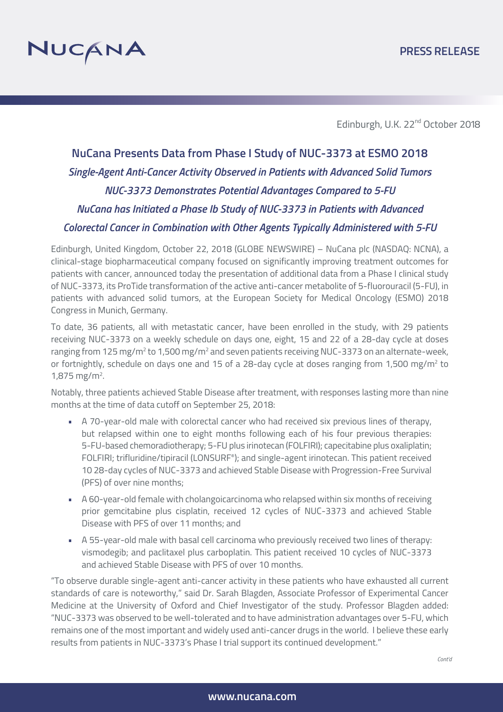

Edinburgh, U.K. 22<sup>nd</sup> October 2018

# **NuCana Presents Data from Phase I Study of NUC-3373 at ESMO 2018** *Single-Agent Anti-Cancer Activity Observed in Patients with Advanced Solid Tumors NUC-3373 Demonstrates Potential Advantages Compared to 5-FU NuCana has Initiated a Phase Ib Study of NUC-3373 in Patients with Advanced Colorectal Cancer in Combination with Other Agents Typically Administered with 5-FU*

Edinburgh, United Kingdom, October 22, 2018 (GLOBE NEWSWIRE) – NuCana plc (NASDAQ: NCNA), a clinical-stage biopharmaceutical company focused on significantly improving treatment outcomes for patients with cancer, announced today the presentation of additional data from a Phase I clinical study of NUC-3373, its ProTide transformation of the active anti-cancer metabolite of 5-fluorouracil (5-FU), in patients with advanced solid tumors, at the European Society for Medical Oncology (ESMO) 2018 Congress in Munich, Germany.

To date, 36 patients, all with metastatic cancer, have been enrolled in the study, with 29 patients receiving NUC-3373 on a weekly schedule on days one, eight, 15 and 22 of a 28-day cycle at doses ranging from 125 mg/m<sup>2</sup> to 1,500 mg/m<sup>2</sup> and seven patients receiving NUC-3373 on an alternate-week, or fortnightly, schedule on days one and 15 of a 28-day cycle at doses ranging from 1,500 mg/m<sup>2</sup> to  $1,875$  mg/m<sup>2</sup>.

Notably, three patients achieved Stable Disease after treatment, with responses lasting more than nine months at the time of data cutoff on September 25, 2018:

- A 70-year-old male with colorectal cancer who had received six previous lines of therapy, but relapsed within one to eight months following each of his four previous therapies: 5-FU-based chemoradiotherapy; 5-FU plus irinotecan (FOLFIRI); capecitabine plus oxaliplatin; FOLFIRI; trifluridine/tipiracil (LONSURF®); and single-agent irinotecan. This patient received 10 28-day cycles of NUC-3373 and achieved Stable Disease with Progression-Free Survival (PFS) of over nine months;
- A 60-year-old female with cholangoicarcinoma who relapsed within six months of receiving prior gemcitabine plus cisplatin, received 12 cycles of NUC-3373 and achieved Stable Disease with PFS of over 11 months; and
- A 55-year-old male with basal cell carcinoma who previously received two lines of therapy: vismodegib; and paclitaxel plus carboplatin. This patient received 10 cycles of NUC-3373 and achieved Stable Disease with PFS of over 10 months.

"To observe durable single-agent anti-cancer activity in these patients who have exhausted all current standards of care is noteworthy," said Dr. Sarah Blagden, Associate Professor of Experimental Cancer Medicine at the University of Oxford and Chief Investigator of the study. Professor Blagden added: "NUC-3373 was observed to be well-tolerated and to have administration advantages over 5-FU, which remains one of the most important and widely used anti-cancer drugs in the world. I believe these early results from patients in NUC-3373's Phase I trial support its continued development."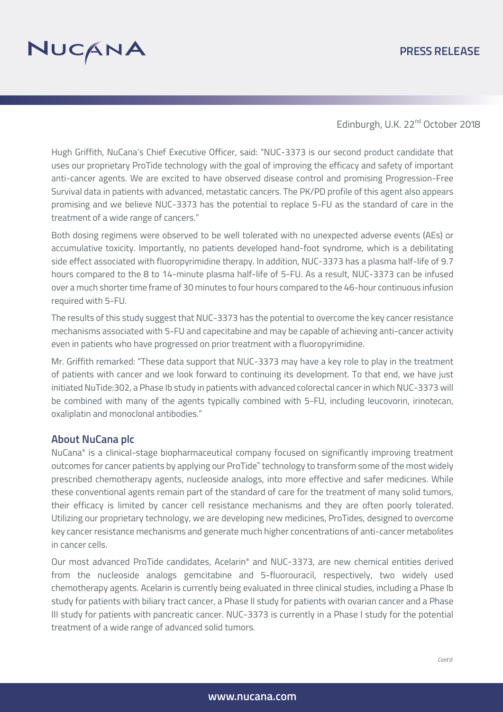## **PRESS RELEASE**



Edinburgh, U.K. 22<sup>nd</sup> October 2018

Hugh Griffith, NuCana's Chief Executive Officer, said: "NUC-3373 is our second product candidate that uses our proprietary ProTide technology with the goal of improving the efficacy and safety of important anti-cancer agents. We are excited to have observed disease control and promising Progression-Free Survival data in patients with advanced, metastatic cancers. The PK/PD profile of this agent also appears promising and we believe NUC-3373 has the potential to replace 5-FU as the standard of care in the treatment of a wide range of cancers."

Both dosing regimens were observed to be well tolerated with no unexpected adverse events (AEs) or accumulative toxicity. Importantly, no patients developed hand-foot syndrome, which is a debilitating side effect associated with fluoropyrimidine therapy. In addition, NUC-3373 has a plasma half-life of 9.7 hours compared to the 8 to 14-minute plasma half-life of 5-FU. As a result, NUC-3373 can be infused over a much shorter time frame of 30 minutes to four hours compared to the 46-hour continuous infusion required with 5-FU.

The results of this study suggest that NUC-3373 has the potential to overcome the key cancer resistance mechanisms associated with 5-FU and capecitabine and may be capable of achieving anti-cancer activity even in patients who have progressed on prior treatment with a fluoropyrimidine.

Mr. Griffith remarked: "These data support that NUC-3373 may have a key role to play in the treatment of patients with cancer and we look forward to continuing its development. To that end, we have just initiated NuTide:302, a Phase Ib study in patients with advanced colorectal cancer in which NUC-3373 will be combined with many of the agents typically combined with 5-FU, including leucovorin, irinotecan, oxaliplatin and monoclonal antibodies."

## **About NuCana plc**

NuCana® is a clinical-stage biopharmaceutical company focused on significantly improving treatment outcomes for cancer patients by applying our ProTide™ technology to transform some of the most widely prescribed chemotherapy agents, nucleoside analogs, into more effective and safer medicines. While these conventional agents remain part of the standard of care for the treatment of many solid tumors, their efficacy is limited by cancer cell resistance mechanisms and they are often poorly tolerated. Utilizing our proprietary technology, we are developing new medicines, ProTides, designed to overcome key cancer resistance mechanisms and generate much higher concentrations of anti-cancer metabolites in cancer cells.

Our most advanced ProTide candidates, Acelarin® and NUC-3373, are new chemical entities derived from the nucleoside analogs gemcitabine and 5-fluorouracil, respectively, two widely used chemotherapy agents. Acelarin is currently being evaluated in three clinical studies, including a Phase Ib study for patients with biliary tract cancer, a Phase II study for patients with ovarian cancer and a Phase III study for patients with pancreatic cancer. NUC-3373 is currently in a Phase I study for the potential treatment of a wide range of advanced solid tumors.